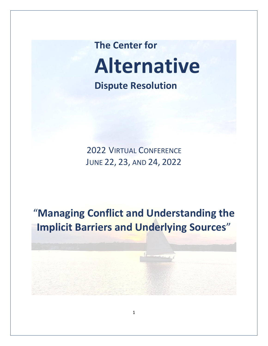**The Center for Alternative Dispute Resolution**

2022 VIRTUAL CONFERENCE JUNE 22, 23, AND 24, 2022

"**Managing Conflict and Understanding the Implicit Barriers and Underlying Sources**"

1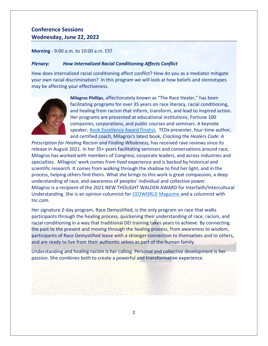# **Conference Sessions Wednesday, June 22, 2022**

**Morning** - 9:00 a.m. to 10:00 a.m. EST

## *Plenary: How Internalized Racial Conditioning Affects Conflict*

How does internalized racial conditioning affect conflict? How do you as a mediator mitigate your own racial discrimination? In this program we will look at how beliefs and stereotypes may be affecting your effectiveness.



**Milagros Phillips**, affectionately known as "The Race Healer," has been facilitating programs for over 35 years on race literacy, racial conditioning, and healing from racism that inform, transform, and lead to inspired action. Her programs are presented at educational institutions, Fortune 100 companies, corporations, and public courses and seminars. A keynote speaker, [Book Excellence Award Finalist,](https://www.bookexcellenceawards.com/) TEDx presenter, four-time author, and certified coach, Milagros's latest book, *Cracking the Healers Code: A* 

*Prescription for Healing Racism and Finding Wholeness,* has received rave reviews since its release in August 2021. In her 35+ years facilitating seminars and conversations around race, Milagros has worked with members of Congress, corporate leaders, and across industries and specialties. Milagros' work comes from lived experience and is backed by historical and scientific research. It comes from walking through the shadow to find her light, and in the process, helping others find theirs. What she brings to this work is great compassion, a deep understanding of race, and awareness of peoples' individual and collective power. Milagros is a recipient of the 2021 NEW THOUGHT WALDEN AWARD for Interfaith/Intercultural Understanding. She is an opinion columnist for [CEOWORLD Magazine](https://ceoworld.biz/) and a columnist with Inc.com.

Her signature 2-day program, [Race Demystified,](https://www.milagrosphillips.com/racedemystified) is the only program on race that walks participants through the healing process, quickening their understanding of race, racism, and racial conditioning in a way that traditional DEI training takes years to achieve. By connecting the past to the present and moving through the healing process, from awareness to wisdom, participants of Race Demystified leave with a stronger connection to themselves and to others, and are ready to live from their authentic selves as part of the human family.

Understanding and healing racism is her calling. Personal and collective development is her passion. She combines both to create a powerful and transformative experience.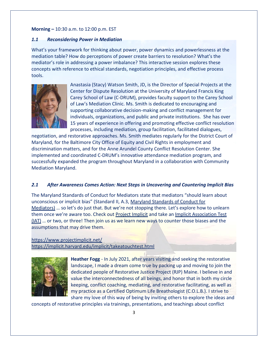#### **Morning –** 10:30 a.m. to 12:00 p.m. EST

#### *1.1 Reconsidering Power in Mediation*

What's your framework for thinking about power, power dynamics and powerlessness at the mediation table? How do perceptions of power create barriers to resolution? What's the mediator's role in addressing a power imbalance? This interactive session explores these concepts with reference to ethical standards, negotiation principles, and effective process tools.



Anastasia (Stacy) Watson Smith, JD, is the Director of Special Projects at the Center for Dispute Resolution at the University of Maryland Francis King Carey School of Law (C-DRUM), provides faculty support to the Carey School of Law's Mediation Clinic. Ms. Smith is dedicated to encouraging and supporting collaborative decision-making and conflict management for individuals, organizations, and public and private institutions. She has over 15 years of experience in offering and promoting effective conflict resolution processes, including mediation, group facilitation, facilitated dialogues,

negotiation, and restorative approaches. Ms. Smith mediates regularly for the District Court of Maryland, for the Baltimore City Office of Equity and Civil Rights in employment and discrimination matters, and for the Anne Arundel County Conflict Resolution Center. She implemented and coordinated C-DRUM's innovative attendance mediation program, and successfully expanded the program throughout Maryland in a collaboration with Community Mediation Maryland.

## *2.1 After Awareness Comes Action: Next Steps in Uncovering and Countering Implicit Bias*

The Maryland Standards of Conduct for Mediators state that mediators "should learn about unconscious or implicit bias" (Standard II, A.3, [Maryland Standards of Conduct for](https://www.mcdr.org/page-1320346) [Mediators\)](https://www.mcdr.org/page-1320346) … so let's do just that. But we're not stopping there. Let's explore how to unlearn them once we're aware too. Check out [Project Implicit](https://www.projectimplicit.net/) and take an [Implicit Association Test](https://implicit.harvard.edu/implicit/takeatouchtest.html) [\(IAT\)](https://implicit.harvard.edu/implicit/takeatouchtest.html) … or two, or three! Then join us as we learn new ways to counter those biases and the assumptions that may drive them.

<https://www.projectimplicit.net/> <https://implicit.harvard.edu/implicit/takeatouchtest.html>



**Heather Fogg** - In July 2021, after years visiting and seeking the restorative landscape, I made a dream come true by packing up and moving to join the dedicated people of Restorative Justice Project (RJP) Maine. I believe in and value the interconnectedness of all beings, and honor that in both my circle keeping, conflict coaching, mediating, and restorative facilitating, as well as my practice as a Certified Optimum Life Breathologist (C.O.L.B.). I strive to share my love of this way of being by inviting others to explore the ideas and

concepts of restorative principles via trainings, presentations, and teachings about conflict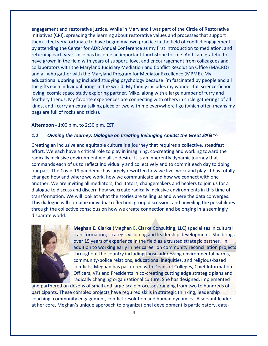engagement and restorative justice. While in Maryland I was part of the Circle of Restorative Initiatives (CRI), spreading the learning about restorative values and processes that support them. I feel very fortunate to have begun my own practice in the field of conflict engagement by attending the Center for ADR Annual Conference as my first introduction to mediation, and returning each year since has become an important touchstone for me. And I am grateful to have grown in the field with years of support, love, and encouragement from colleagues and collaborators with the Maryland Judiciary Mediation and Conflict Resolution Office (MACRO) and all who gather with the Maryland Program for Mediator Excellence (MPME). My educational upbringing included studying psychology because I'm fascinated by people and all the gifts each individual brings in the world. My family includes my wonder-full science-fiction loving, cosmic space study exploring partner, Mike, along with a large number of furry and feathery friends. My favorite experiences are connecting with others in circle gatherings of all kinds, and I carry an extra talking piece or two with me everywhere I go (which often means my bags are full of rocks and sticks).

#### **Afternoon -** 1:00 p.m. to 2:30 p.m. EST

#### *1.2 Owning the Journey: Dialogue on Creating Belonging Amidst the Great \$%&\*^*

Creating an inclusive and equitable culture is a journey that requires a collective, steadfast effort. We each have a critical role to play in imagining, co-creating and working toward the radically inclusive environment we all so desire. It is an inherently dynamic journey that commands each of us to reflect individually and collectively and to commit each day to doing our part. The Covid-19 pandemic has largely rewritten how we live, work and play. It has totally changed how and where we work, how we communicate and how we connect with one another. We are inviting all mediators, facilitators, changemakers and healers to join us for a dialogue to discuss and discern how we create radically inclusive environments in this time of transformation. We will look at what the stories are telling us and where the data converges. This dialogue will combine individual reflection, group discussion, and unveiling the possibilities through the collective conscious on how we create connection and belonging in a seemingly disparate world.



**Meghan E. Clarke** (Meghan E. Clarke Consulting, LLC) specializes in cultural transformation, strategic visioning and leadership development. She brings over 15 years of experience in the field as a trusted strategic partner. In addition to working early in her career on community reconciliation projects throughout the country including those addressing environmental harms, community-police relations, educational inequities, and religious-based conflicts, Meghan has partnered with Deans of Colleges, Chief Information Officers, VPs and Presidents in co-creating cutting edge strategic plans and radically changing organizational culture. She has designed, implemented

and partnered on dozens of small and large-scale processes ranging from two to hundreds of participants. These complex projects have required skills in strategic thinking, leadership coaching, community engagement, conflict resolution and human dynamics. A servant leader at her core, Meghan's unique approach to organizational development is participatory, data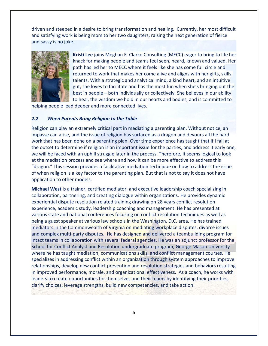driven and steeped in a desire to bring transformation and healing. Currently, her most difficult and satisfying work is being mom to her two daughters, raising the next generation of fierce and sassy is no joke.



**Kristi Lee** joins Meghan E. Clarke Consulting (MECC) eager to bring to life her knack for making people and teams feel seen, heard, known and valued. Her path has led her to MECC where it feels like she has come full circle and returned to work that makes her come alive and aligns with her gifts, skills, talents. With a strategic and analytical mind, a kind heart, and an intuitive gut, she loves to facilitate and has the most fun when she's bringing out the best in people – both individually or collectively. She believes in our ability to heal, the wisdom we hold in our hearts and bodies, and is committed to

helping people lead deeper and more connected lives.

#### *2.2 When Parents Bring Religion to the Table*

Religion can play an extremely critical part in mediating a parenting plan. Without notice, an impasse can arise, and the issue of religion has surfaced as a dragon and devours all the hard work that has been done on a parenting plan. Over time experience has taught that if I fail at the outset to determine if religion is an important issue for the parties, and address it early one, we will be faced with an uphill struggle later in the process. Therefore, it seems logical to look at the mediation process and see where and how it can be more effective to address this "dragon." This session provides a facilitative mediation technique on how to address the issue of when religion is a key factor to the parenting plan. But that is not to say it does not have application to other models.

**Michael West** is a trainer, certified mediator, and executive leadership coach specializing in collaboration, partnering, and creating dialogue within organizations. He provides dynamic experiential dispute resolution related training drawing on 28 years conflict resolution experience, academic study, leadership coaching and management. He has presented at various state and national conferences focusing on conflict resolution techniques as well as being a guest speaker at various law schools in the Washington, D.C. area. He has trained mediators in the Commonwealth of Virginia on mediating workplace disputes, divorce issues and complex multi-party disputes. He has designed and delivered a teambuilding program for intact teams in collaboration with several federal agencies. He was an adjunct professor for the School for Conflict Analyst and Resolution undergraduate program, George Mason University where he has taught mediation, communications skills, and conflict management courses. He specializes in addressing conflict within an organization through system approaches to improve relationships, develop new conflict prevention and resolution strategies and behaviors resulting in improved performance, morale, and organizational effectiveness. As a coach, he works with leaders to create opportunities for themselves and their teams by identifying their priorities, clarify choices, leverage strengths, build new competencies, and take action.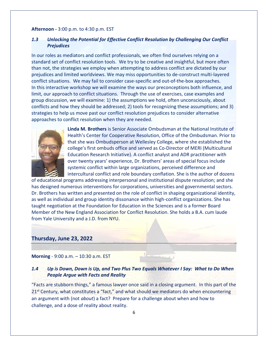#### **Afternoon -** 3:00 p.m. to 4:30 p.m. EST

## *1.3 Unlocking the Potential for Effective Conflict Resolution by Challenging Our Conflict Prejudices*

In our roles as mediators and conflict professionals, we often find ourselves relying on a standard set of conflict resolution tools. We try to be creative and insightful, but more often than not, the strategies we employ when attempting to address conflict are dictated by our prejudices and limited worldviews. We may miss opportunities to de-construct multi-layered conflict situations. We may fail to consider case-specific and out-of-the-box approaches. In this interactive workshop we will examine the ways our preconceptions both influence, and limit, our approach to conflict situations. Through the use of exercises, case examples and group discussion, we will examine: 1) the assumptions we hold, often unconsciously, about conflicts and how they should be addressed; 2) tools for recognizing these assumptions; and 3) strategies to help us move past our conflict resolution prejudices to consider alternative approaches to conflict resolution when they are needed.



**Linda M. Brothers** is Senior Associate Ombudsman at the National Institute of Health's Center for Cooperative Resolution, Office of the Ombudsman. Prior to that she was Ombudsperson at Wellesley College, where she established the college's first ombuds office and served as Co-Director of MERI (Multicultural Education Research Initiative). A conflict analyst and ADR practitioner with over twenty years' experience, Dr. Brothers' areas of special focus include systemic conflict within large organizations, perceived difference and intercultural conflict and role boundary conflation. She is the author of dozens

of educational programs addressing interpersonal and institutional dispute resolution; and she has designed numerous interventions for corporations, universities and governmental sectors. Dr. Brothers has written and presented on the role of conflict in shaping organizational identity, as well as individual and group identity dissonance within high-conflict organizations. She has taught negotiation at the Foundation for Education in the Sciences and is a former Board Member of the New England Association for Conflict Resolution. She holds a B.A. cum laude from Yale University and a J.D. from NYU.

### **Thursday, June 23, 2022**

**Morning** - 9:00 a.m. – 10:30 a.m. EST

## *1.4 Up is Down, Down is Up, and Two Plus Two Equals Whatever I Say: What to Do When People Argue with Facts and Reality*

"Facts are stubborn things," a famous lawyer once said in a closing argument. In this part of the 21<sup>st</sup> Century, what constitutes a "fact," and what should we mediators do when encountering an argument with (not *about*) a fact? Prepare for a challenge about when and how to challenge, and a dose of reality about reality.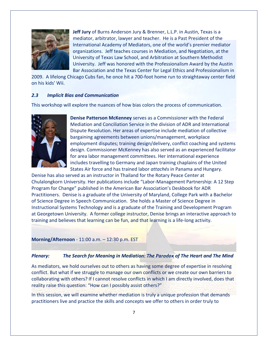

**Jeff Jury** of Burns Anderson Jury & Brenner, L.L.P. in Austin, Texas is a mediator, arbitrator, lawyer and teacher. He is a Past President of the International Academy of Mediators, one of the world's premier mediator organizations. Jeff teaches courses in Mediation, and Negotiation, at the University of Texas Law School, and Arbitration at Southern Methodist University. Jeff was honored with the Professionalism Award by the Austin Bar Association and the Texas Center for Legal Ethics and Professionalism in

2009. A lifelong Chicago Cubs fan, he once hit a 700-foot home run to straightaway center field on his kids' Wii.

#### *2.3 Implicit Bias and Communication*

This workshop will explore the nuances of how bias colors the process of communication.



**Denise Patterson McKenney** serves as a Commissioner with the Federal Mediation and Conciliation Service in the division of ADR and International Dispute Resolution. Her areas of expertise include mediation of collective bargaining agreements between unions/management, workplace employment disputes; training design/delivery, conflict coaching and systems design. Commissioner McKenney has also served as an experienced facilitator for area labor management committees. Her international experience includes travelling to Germany and Japan training chaplains of the United States Air force and has trained labor *attachés* in Panama and Hungary.

Denise has also served as an instructor in Thailand for the Rotary Peace Center at Chulalongkorn University. Her publications include "Labor-Management Partnership: A 12 Step Program for Change" published in the American Bar Association's Deskbook for ADR Practitioners. Denise is a graduate of the University of Maryland, College Park with a Bachelor of Science Degree in Speech Communication. She holds a Master of Science Degree in Instructional Systems Technology and is a graduate of the Training and Development Program at Georgetown University. A former college instructor, Denise brings an interactive approach to training and believes that learning can be fun, and that learning is a life-long activity.

**Morning/Afternoon** - 11:00 a.m. – 12:30 p.m. EST

#### *Plenary: The Search for Meaning in Mediation: The Paradox of The Heart and The Mind*

As mediators, we hold ourselves out to others as having some degree of expertise in resolving conflict. But what if we struggle to manage our own conflicts or we create our own barriers to collaborating with others? If I cannot resolve conflicts in which I am directly involved, does that reality raise this question: "How can I possibly assist others?"

In this session, we will examine whether mediation is truly a unique profession that demands practitioners live and practice the skills and concepts we offer to others in order truly to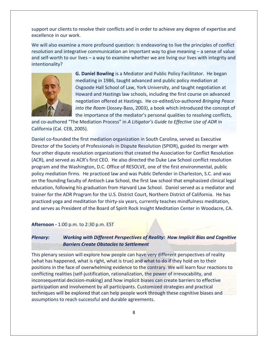support our clients to resolve their conflicts and in order to achieve any degree of expertise and excellence in our work.

We will also examine a more profound question: Is endeavoring to live the principles of conflict resolution and integrative communication an important way to give meaning – a sense of value and self-worth to our lives – a way to examine whether we are living our lives with integrity and intentionality?



**G. Daniel Bowling** is a Mediator and Public Policy Facilitator. He began mediating in 1986, taught advanced and public policy mediation at Osgoode Hall School of Law, York University, and taught negotiation at Howard and Hastings law schools, including the first course on advanced negotiation offered at Hastings. He co-edited/co-authored *Bringing Peace into the Room* (Jossey-Bass, 2003), a book which introduced the concept of the importance of the mediator's personal qualities to resolving conflicts,

and co-authored "The Mediation Process" in *A Litigator's Guide to Effective Use of ADR* in California (Cal. CEB, 2005).

Daniel co-founded the first mediation organization in South Carolina, served as Executive Director of the Society of Professionals in Dispute Resolution (SPIDR), guided its merger with four other dispute resolution organizations that created the Association for Conflict Resolution (ACR), and served as ACR's first CEO. He also directed the Duke Law School conflict resolution program and the Washington, D.C. Office of RESOLVE, one of the first environmental, public policy mediation firms. He practiced law and was Public Defender in Charleston, S.C. and was on the founding faculty of Antioch Law School, the first law school that emphasized clinical legal education, following his graduation from Harvard Law School. Daniel served as a mediator and trainer for the ADR Program for the U.S. District Court, Northern District of California. He has practiced yoga and meditation for thirty-six years, currently teaches mindfulness meditation, and serves as President of the Board of Spirit Rock Insight Meditation Center in Woodacre, CA.

**Afternoon -** 1:00 p.m. to 2:30 p.m. EST

## *Plenary: Working with Different Perspectives of Reality: How Implicit Bias and Cognitive Barriers Create Obstacles to Settlement*

This plenary session will explore how people can have very different perspectives of reality (what has happened, what is right, what is true) and what to do if they hold on to their positions in the face of overwhelming evidence to the contrary. We will learn four reactions to conflicting realities (self-justification, rationalization, the power of irrevocability, and inconsequential decision-making) and how implicit biases can create barriers to effective participation and involvement by all participants. Customized strategies and practical techniques will be explored that can help people work through these cognitive biases and assumptions to reach successful and durable agreements.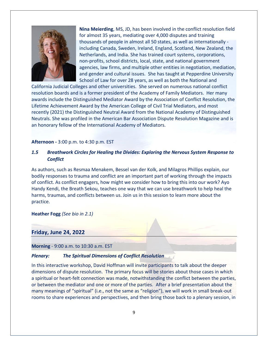

**Nina Meierding**, MS, JD, has been involved in the conflict resolution field for almost 35 years, mediating over 4,000 disputes and training thousands of people in almost all 50 states, as well as internationally including Canada, Sweden, Ireland, England, Scotland, New Zealand, the Netherlands, and India. She has trained court systems, corporations, non-profits, school districts, local, state, and national government agencies, law firms, and multiple other entities in negotiation, mediation, and gender and cultural issues. She has taught at Pepperdine University School of Law for over 28 years, as well as both the National and

California Judicial Colleges and other universities. She served on numerous national conflict resolution boards and is a former president of the Academy of Family Mediators. Her many awards include the Distinguished Mediator Award by the Association of Conflict Resolution, the Lifetime Achievement Award by the American College of Civil Trial Mediators, and most recently (2021) the Distinguished Neutral Award from the National Academy of Distinguished Neutrals. She was profiled in the American Bar Association Dispute Resolution Magazine and is an honorary fellow of the International Academy of Mediators.

**Afternoon -** 3:00 p.m. to 4:30 p.m. EST

## *1.5 Breathwork Circles for Healing the Divides: Exploring the Nervous System Response to Conflict*

As authors, such as Resmaa Menakem, Bessel van der Kolk, and Milagros Phillips explain, our bodily responses to trauma and conflict are an important part of working through the impacts of conflict. As conflict engagers, how might we consider how to bring this into our work? Ayo Handy Kendi, the Breath Sekou, teaches one way that we can use breathwork to help heal the harms, traumas, and conflicts between us. Join us in this session to learn more about the practice.

**Heather Fogg** *(See bio in 2.1)*

#### **Friday, June 24, 2022**

**Morning** - 9:00 a.m. to 10:30 a.m. EST

#### *Plenary: The Spiritual Dimensions of Conflict Resolution*

In this interactive workshop, David Hoffman will invite participants to talk about the deeper dimensions of dispute resolution. The primary focus will be stories about those cases in which a spiritual or heart-felt connection was made, notwithstanding the conflict between the parties, or between the mediator and one or more of the parties. After a brief presentation about the many meanings of "spiritual" (i.e., not the same as "religion"), we will work in small break-out rooms to share experiences and perspectives, and then bring those back to a plenary session, in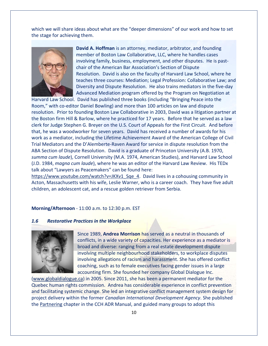which we will share ideas about what are the "deeper dimensions" of our work and how to set the stage for achieving them.



**David A. Hoffman** is an attorney, mediator, arbitrator, and founding member of Boston Law Collaborative, LLC, where he handles cases involving family, business, employment, and other disputes. He is pastchair of the American Bar Association's Section of Dispute Resolution. David is also on the faculty of Harvard Law School, where he teaches three courses: Mediation; Legal Profession: Collaborative Law; and Diversity and Dispute Resolution. He also trains mediators in the five-day Advanced Mediation program offered by the Program on Negotiation at

Harvard Law School. David has published three books (including "Bringing Peace into the Room," with co-editor Daniel Bowling) and more than 100 articles on law and dispute resolution. Prior to founding Boston Law Collaborative in 2003, David was a litigation partner at the Boston firm Hill & Barlow, where he practiced for 17 years. Before that he served as a law clerk for Judge Stephen G. Breyer on the U.S. Court of Appeals for the First Circuit. And before that, he was a woodworker for seven years. David has received a number of awards for his work as a mediator, including the Lifetime Achievement Award of the American College of Civil Trial Mediators and the D'Alemberte-Raven Award for service in dispute resolution from the ABA Section of Dispute Resolution. David is a graduate of Princeton University (A.B. 1970, *summa cum laude*), Cornell University (M.A. 1974, American Studies), and Harvard Law School (J.D. 1984, *magna cum laude*), where he was an editor of the Harvard Law Review. His TEDx talk about "Lawyers as Peacemakers" can be found here:

[https://www.youtube.com/watch?v=JKXv1\\_Sqe\\_4.](https://www.youtube.com/watch?v=JKXv1_Sqe_4) David lives in a cohousing community in Acton, Massachusetts with his wife, Leslie Warner, who is a career coach. They have five adult children, an adolescent cat, and a rescue golden retriever from Serbia.

#### **Morning/Afternoon** - 11:00 a.m. to 12:30 p.m. EST

#### *1.6 Restorative Practices in the Workplace*



Since 1989, **Andrea Morrison** has served as a neutral in thousands of conflicts, in a wide variety of capacities. Her experience as a mediator is broad and diverse: ranging from a real estate development dispute involving multiple neighbourhood stakeholders, to workplace disputes involving allegations of racism and harassment. She has offered conflict coaching, such as to female executives facing gender issues in a large accounting firm. She founded her company Global Dialogue Inc.

[\(www.globaldialogue.ca\)](http://www.globaldialogue.ca/) in 2005. Since 2011, she has been a permanent mediator for the Quebec human rights commission. Andrea has considerable experience in conflict prevention and facilitating systemic change. She led an integrative conflict management system design for project delivery within the former *Canadian International Development Agency*. She published the Partnering chapter in the CCH ADR Manual, and guided many groups to adopt this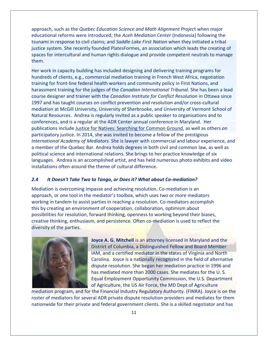approach, such as the *Quebec Education Science and Math Alignment Projec*t when major educational reforms were introduced; the *Aceh Mediation Center* (Indonesia) following the tsunami in response to civil claims; and *Saddle Lake First Nation* when they initiated a tribal justice system. She recently founded PlatesFormes, an association which leads the creating of spaces for intercultural and human rights dialogue and provide competent neutrals to manage them.

Her work in capacity building has included designing and delivering training programs for hundreds of clients, e.g., commercial mediation training in French West Africa, negotiation training for front-line federal health workers and community policy in First Nations, and harassment training for the judges of the *Canadian International Tribunal*. She has been a lead course designer and trainer with the *Canadian Institute for Conflict Resolution* in Ottawa since 1997 and has taught courses on conflict prevention and resolution and/or cross-cultural mediation at McGill University, University of Sherbrooke, and University of Vermont School of Natural Resources. Andrea is regularly invited as a public speaker to organisations and to conferences, and is a regular at the ADR Center annual conference in Maryland. Her publications include Justice for Natives: Searching for Common Ground, as well as others on participatory justice. In 2014, she was invited to become a fellow of the prestigious *International Academy of Mediators.* She is lawyer with commercial and labour experience, and a member of the Quebec Bar. Andrea holds degrees in both civil and common law, as well as political science and international relations. She brings to her practice knowledge of six languages. Andrea is an accomplished artist, and has held numerous photo exhibits and video installations often around the theme of cultural difference.

#### *2.4 It Doesn't Take Two to Tango, or Does it? What about Co-mediation?*

Mediation is overcoming impasse and achieving resolution. Co-mediation is an approach, or one tool in the mediator's toolbox, which uses two or more mediators working in tandem to assist parties in reaching a resolution. Co-mediators accomplish this by creating an environment of cooperation, collaboration, optimism about possibilities for resolution, forward thinking, openness to working beyond their biases, creative thinking, enthusiasm, and persistence. Often co-mediation is used to reflect the diversity of the parties.



**Joyce A. G. Mitchell** is an attorney licensed in Maryland and the District of Columbia, a Distinguished Fellow and Board Member IAM, and a certified mediator in the states of Virginia and North Carolina. Joyce is a nationally recognized in the field of alternative dispute resolution. She began her mediation practice in 1996 and has mediated more than 2000 cases. She mediates for the U. S. Equal Employment Opportunity Commission, the U.S. Department of Agriculture, the US Air Force, the MD Dept of Agriculture

mediation program, and for the Financial Industry Regulatory Authority. (FINRA). Joyce is on the roster of mediators for several ADR private dispute resolution providers and mediates for them nationwide for their private and federal government clients. She is a skilled negotiator and has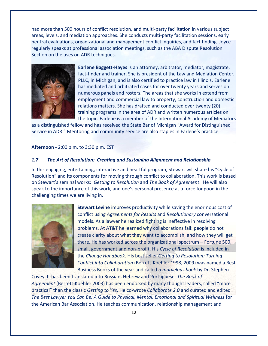had more than 500 hours of conflict resolution, and multi-party facilitation in various subject areas, levels, and mediation approaches. She conducts multi-party facilitation sessions, early neutral evaluations, organizational and management conflict inquiries, and fact finding. Joyce regularly speaks at professional association meetings, such as the ABA Dispute Resolution Section on the uses on ADR techniques.



**Earlene Baggett-Hayes** is an attorney, arbitrator, mediator, magistrate, fact-finder and trainer. She is president of the Law and Mediation Center, PLLC, in Michigan, and is also certified to practice law in Illinois. Earlene has mediated and arbitrated cases for over twenty years and serves on numerous panels and rosters. The areas that she works in extend from employment and commercial law to property, construction and domestic relations matters. She has drafted and conducted over twenty (20) training programs in the area of ADR and written numerous articles on the topic. Earlene is a member of the International Academy of Mediators

as a distinguished fellow and has received the State Bar of Michigan "Award for Distinguished Service in ADR." Mentoring and community service are also staples in Earlene's practice.

**Afternoon** - 2:00 p.m. to 3:30 p.m. EST

#### *1.7 The Art of Resolution: Creating and Sustaining Alignment and Relationship*

In this engaging, entertaining, interactive and heartful program, Stewart will share his "Cycle of Resolution" and its components for moving through conflict to collaboration. This work is based on Stewart's seminal works: *Getting to Resolution* and *The Book of Agreement*. He will also speak to the importance of this work, and one's personal presence as a force for good in the challenging times we are living in.



**Stewart Levine** improves productivity while saving the enormous cost of conflict using *Agreements for Results* and *Resolutionary* conversational models. As a lawyer he realized fighting is ineffective in resolving problems. At AT&T he learned why collaborations fail: people do not create clarity about what they want to accomplish, and how they will get there. He has worked across the organizational spectrum – Fortune 500, small, government and non-profit. His *Cycle of Resolution* is included in the *Change Handbook*. His best seller *Getting to Resolution: Turning Conflict into Collaboration* (Berrett-Koehler 1998, 2009) was named a Best Business Books of the year and called *a marvelous book* by Dr. Stephen

Covey. It has been translated into Russian, Hebrew and Portuguese. *The Book of Agreement* (Berrett-Koehler 2003) has been endorsed by many thought leaders, called "more practical" than the classic *Getting to Yes*. He co-wrote *Collaborate 2.0* and curated and edited *The Best Lawyer You Can Be: A Guide to Physical, Mental, Emotional and Spiritual Wellness* for the American Bar Association. He teaches communication, relationship management and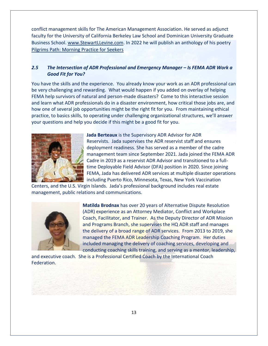conflict management skills for The American Management Association. He served as adjunct faculty for the University of California Berkeley Law School and Dominican University Graduate Business School[. www.StewartLLevine.com.](http://www.stewartllevine.com/) In 2022 he will publish an anthology of his poetry [Pilgrims Path: Morning Practice for Seekers](http://pilgrimspath.life/)

## **2.5** *The Intersection of ADR Professional and Emergency Manager – Is FEMA ADR Work a Good Fit for You?*

You have the skills and the experience. You already know your work as an ADR professional can be very challenging and rewarding. What would happen if you added on overlay of helping FEMA help survivors of natural and person-made disasters? Come to this interactive session and learn what ADR professionals do in a disaster environment, how critical those jobs are, and how one of several job opportunities might be the right fit for you. From maintaining ethical practice, to basics skills, to operating under challenging organizational structures, we'll answer your questions and help you decide if this might be a good fit for you.



**Jada Berteaux** is the Supervisory ADR Advisor for ADR Reservists. Jada supervises the ADR reservist staff and ensures deployment readiness. She has served as a member of the cadre management team since September 2021. Jada joined the FEMA ADR Cadre in 2019 as a reservist ADR Advisor and transitioned to a fulltime Deployable Field Advisor (DFA) position in 2020. Since joining FEMA, Jada has delivered ADR services at multiple disaster operations including Puerto Rico, Minnesota, Texas, New York Vaccination

Centers, and the U.S. Virgin Islands. Jada's professional background includes real estate management, public relations and communications.



**Matilda Brodnax** has over 20 years of Alternative Dispute Resolution (ADR) experience as an Attorney Mediator, Conflict and Workplace Coach, Facilitator, and Trainer. As the Deputy Director of ADR Mission and Programs Branch, she supervises the HQ ADR staff and manages the delivery of a broad range of ADR services. From 2013 to 2019, she managed the FEMA ADR Leadership Coaching Program. Her duties included managing the delivery of coaching services, developing and conducting coaching skills training, and serving as a mentor, leadership,

and executive coach. She is a Professional Certified Coach by the International Coach Federation.